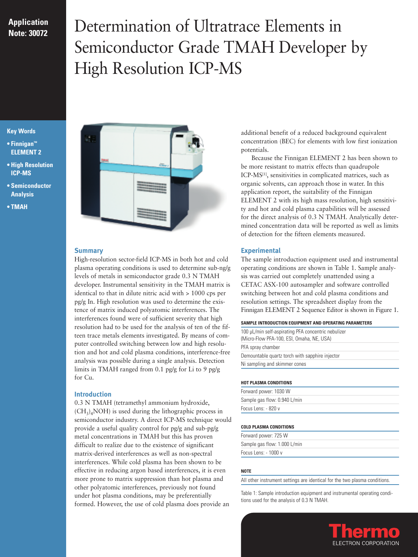## **Application Note: 30072**

# Determination of Ultratrace Elements in Semiconductor Grade TMAH Developer by High Resolution ICP-MS

## **Key Words**

- **Finnigan™ ELEMENT 2**
- **High Resolution ICP-MS**
- **Semiconductor Analysis**
- **TMAH**



## **Summary**

High-resolution sector-field ICP-MS in both hot and cold plasma operating conditions is used to determine sub-ng/g levels of metals in semiconductor grade 0.3 N TMAH developer. Instrumental sensitivity in the TMAH matrix is identical to that in dilute nitric acid with > 1000 cps per pg/g In. High resolution was used to determine the existence of matrix induced polyatomic interferences. The interferences found were of sufficient severity that high resolution had to be used for the analysis of ten of the fifteen trace metals elements investigated. By means of computer controlled switching between low and high resolution and hot and cold plasma conditions, interference-free analysis was possible during a single analysis. Detection limits in TMAH ranged from 0.1 pg/g for Li to 9 pg/g for Cu.

## **Introduction**

0.3 N TMAH (tetramethyl ammonium hydroxide,  $(CH<sub>3</sub>)<sub>4</sub>NOH$ ) is used during the lithographic process in semiconductor industry. A direct ICP-MS technique would provide a useful quality control for pg/g and sub-pg/g metal concentrations in TMAH but this has proven difficult to realize due to the existence of significant matrix-derived interferences as well as non-spectral interferences. While cold plasma has been shown to be effective in reducing argon based interferences, it is even more prone to matrix suppression than hot plasma and other polyatomic interferences, previously not found under hot plasma conditions, may be preferentially formed. However, the use of cold plasma does provide an

additional benefit of a reduced background equivalent concentration (BEC) for elements with low first ionization potentials.

Because the Finnigan ELEMENT 2 has been shown to be more resistant to matrix effects than quadrupole ICP-MS[1], sensitivities in complicated matrices, such as organic solvents, can approach those in water. In this application report, the suitability of the Finnigan ELEMENT 2 with its high mass resolution, high sensitivity and hot and cold plasma capabilities will be assessed for the direct analysis of 0.3 N TMAH. Analytically determined concentration data will be reported as well as limits of detection for the fifteen elements measured.

## **Experimental**

The sample introduction equipment used and instrumental operating conditions are shown in Table 1. Sample analysis was carried out completely unattended using a CETAC ASX-100 autosampler and software controlled switching between hot and cold plasma conditions and resolution settings. The spreadsheet display from the Finnigan ELEMENT 2 Sequence Editor is shown in Figure 1.

#### **SAMPLE INTRODUCTION EQUIPMENT AND OPERATING PARAMETERS**

| 100 µL/min self-aspirating PFA concentric nebulizer<br>(Micro-Flow PFA-100, ESI, Omaha, NE, USA) |
|--------------------------------------------------------------------------------------------------|
| PFA spray chamber                                                                                |
| Demountable quartz torch with sapphire injector                                                  |
| Ni sampling and skimmer cones                                                                    |

#### **HOT PLASMA CONDITIONS**

Forward power: 1030 W Sample gas flow: 0.940 L/min Focus Lens: - 820 v

#### **COLD PLASMA CONDITIONS**

| Forward power: 725 W         |  |
|------------------------------|--|
| Sample gas flow: 1.000 L/min |  |
| Focus Lens: - 1000 v         |  |

#### **NOTE**

All other instrument settings are identical for the two plasma conditions.

Table 1: Sample introduction equipment and instrumental operating conditions used for the analysis of 0.3 N TMAH.

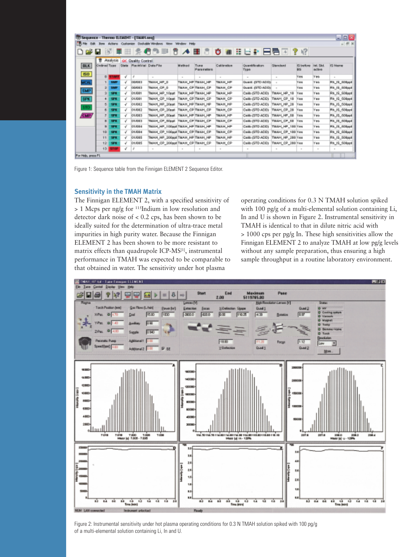|                       |                        |               |              | T Sequence - Thermo ILEMENT - [TMAH.seq] |                                                 |        |                      |                |                           |                  |                        |                            | - 101                |
|-----------------------|------------------------|---------------|--------------|------------------------------------------|-------------------------------------------------|--------|----------------------|----------------|---------------------------|------------------|------------------------|----------------------------|----------------------|
| 15 Feb<br><b>Talk</b> | <b>Bow</b>             |               |              |                                          | Actors Customae Doduale-Windows Mew Window Help |        |                      |                |                           |                  |                        |                            | $-101$               |
|                       |                        |               |              |                                          | AП<br>国胄                                        | ∧≡     |                      |                | ㅎ # H E # E 팀 E D   ? +2  |                  |                        |                            |                      |
|                       | Ħ                      | Assiyois      |              | OC Quality Control                       |                                                 |        |                      |                |                           |                  |                        |                            |                      |
| <b>BLK</b>            | <b>Gedirval Tirger</b> |               | <b>State</b> | <b>PlackWial Data File</b>               |                                                 | Method | Tues<br>Plans meters | Calibration    | Quantification<br>Titiada | Standard         | IS before<br><b>DO</b> | line, Skd<br><b>ACTIVE</b> | 15 Name              |
| 150                   |                        | D <b>STAR</b> | v            | a                                        | $\sim$                                          | $\sim$ | $\sim$               | $\sim$         | $\sim$                    | $\sim$           | <b>Tes</b>             | Yes.                       | $\sim$               |
| <b>MCAL</b>           |                        | <b>SAMP</b>   | s            | OE/DE3                                   | TMAH HP O                                       |        | TMAH HP TMAH HP      | <b>TMAH HP</b> | OUAM, DITO ADDS           |                  | <b>Tree</b>            | <b>V</b> MA                | PO IS SOBJET         |
|                       | эl                     | SMP           | š            | OD/OR 3                                  | TMAH CF O                                       |        | TMAH CP TMAH CP      | TMAH CP        | Quant, (STC-ADD)          |                  | <b>NW</b>              | <b>V</b> eds               | Rs tā 508ppt         |
| SMP                   | 支                      | 599.          | s            | 01/081                                   | TMAH HP 10pst                                   |        | TMAH HP TMAH HP      | TMAH HP        | Calib (STD ADD)           | TMAH HP 18       | <b>Nes</b>             | <b>Ves</b>                 | Rt 15_508ppf         |
| SPK                   | 4                      | 594           | š            | 01/081                                   | <b>IMAH OP_10ppt</b>                            |        | TMAH CP TMAH CP      | TMAH OP        | Callo (STD ADD)           | THAM CP 18       | <b>New</b>             | Yes                        | <b>Rth IS SORppt</b> |
| STO.                  | 51                     | 58%           | ÷            | 01/082                                   | TMAH_HP_20ppt                                   |        | TMAH_HP TMAH_HP      | TMAH_HP        | Callo (STD ADD)           | TMAH_HP_29       | New                    | Yes                        | Ph_IS_508ppf         |
|                       | E                      | 524           | s            | 01/082                                   | TMAH_CP_20psf                                   |        | TMAH_CP/TMAH_CP      | TMAH_GP        | Callo (STD ADD)           | TMAH_CP_29       | New                    | Yes                        | Ph. 15.,508ppf       |
| CMP/                  | T                      | 571           | v            | OV/083                                   | TMAH_HP_50est                                   |        | TMAH HP TMAH HP      | TMAH HP        | Calib (STD ACO)           | THAH, HP_58      | <b>Nes</b>             | Yes.                       | Ph. JS., 508ppf      |
|                       | $\blacksquare$         | 82%           | s            | O'LIDE3                                  | TMAH OF SOUN TMAH OF TMAH OF                    |        |                      | TMAH CF        | Calib (STD ADD)           | THAH CP 58       | <b>N'es</b>            | <b>V</b> es                | PIA IS 600mpd        |
|                       |                        | <b>SPE</b>    | s            | O'LIDB4                                  | TMAH HP TODgeTTMAH HP TMAH HP                   |        |                      | <b>TMAH HP</b> | CABLISTD ADDI             | TIEAH_HP_180 Yes |                        | <b>V</b> Inte              | PA_13_408ppf         |
|                       | 10                     | SPE.          | s            | 01/084                                   | TMAH_CP_100ppt TMAH_CP TMAH_CP                  |        |                      | TMAH_CP        | CARL (STD ACO)            | TMAH CP 188 Yes  |                        | Ves                        | Rs til 608apt        |
|                       | 11                     | 59%           | š            | OUGES                                    | TMAH_HP_200ppt TMAH_HP TMAH_HP                  |        |                      | TMAJ1 HP       | Callo (STD ACO)           | THAH, HP_200 Yes |                        | Yes.                       | Rs tā śūtlapt        |
|                       | 12                     | 59%           | ë            | 01/085                                   | TMAH_GP_200ppt TMAH_GP TMAH_CP                  |        |                      | TMAH CP        | Calib (STD ADD)           | TMAH_CP_288 Yes  |                        | Yes.                       | Rh IS_508ppt         |
|                       |                        | 15 STOP       | š            | ×                                        | $\sim$                                          | $\sim$ | $\sim$               | $\sim$         | $\sim$                    | $\sim$           | $\sim$                 | $\sim$                     |                      |

Figure 1: Sequence table from the Finnigan ELEMENT 2 Sequence Editor.

#### **Sensitivity in the TMAH Matrix**

The Finnigan ELEMENT 2, with a specified sensitivity of > 1 Mcps per ng/g for 115Indium in low resolution and detector dark noise of < 0.2 cps, has been shown to be ideally suited for the determination of ultra-trace metal impurities in high purity water. Because the Finnigan ELEMENT 2 has been shown to be more resistant to matrix effects than quadrupole ICP-MS[1], instrumental performance in TMAH was expected to be comparable to that obtained in water. The sensitivity under hot plasma

operating conditions for 0.3 N TMAH solution spiked with 100 pg/g of a multi-elemental solution containing Li, In and U is shown in Figure 2. Instrumental sensitivity in TMAH is identical to that in dilute nitric acid with > 1000 cps per pg/g In. These high sensitivities allow the Finnigan ELEMENT 2 to analyze TMAH at low pg/g levels without any sample preparation, thus ensuring a high sample throughput in a routine laboratory environment.



Figure 2: Instrumental sensitivity under hot plasma operating conditions for 0.3 N TMAH solution spiked with 100 pg/g of a multi-elemental solution containing Li, In and U.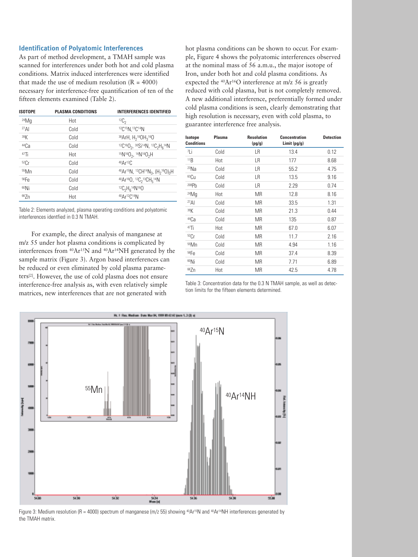## **Identification of Polyatomic Interferences**

As part of method development, a TMAH sample was scanned for interferences under both hot and cold plasma conditions. Matrix induced interferences were identified that made the use of medium resolution  $(R = 4000)$ necessary for interference-free quantification of ten of the fifteen elements examined (Table 2).

| <b>ISOTOPE</b>   | <b>PLASMA CONDITIONS</b> | <b>INTERFERENCES IDENTIFIED</b>                                                                                       |
|------------------|--------------------------|-----------------------------------------------------------------------------------------------------------------------|
| $24$ Mq          | Hot                      | ${}^{12}C_2$                                                                                                          |
| 27 <sub>Al</sub> | Cold                     | 12C15N, 13C14N                                                                                                        |
| 39K              | Cold                     | <sup>38</sup> ArH, $H_2$ <sup>18</sup> OH <sub>3</sub> <sup>16</sup> O                                                |
| 44Ca             | Cold                     | ${}^{12}C$ <sup>16</sup> 0 <sub>2</sub> , ${}^{30}Si$ <sup>14</sup> N, ${}^{12}C_2H_6{}^{14}N$                        |
| 47Ti             | Hot                      | $15N16O_2$ , $14N16O_2H$                                                                                              |
| 52Cr             | Cold                     | $40 \text{Ar}$ <sup>12</sup> C                                                                                        |
| <sup>55</sup> Mn | Cold                     | 40Ar <sup>15</sup> N, <sup>12</sup> CH <sup>14</sup> N <sub>3</sub> , (H <sub>2</sub> <sup>16</sup> O) <sub>3</sub> H |
| 56Fe             | Cold                     | $40Ar16O, 12C213CH514N$                                                                                               |
| 60Ni             | Cold                     | ${}^{12}C_2H_6{}^{14}N{}^{16}O$                                                                                       |
| 667n             | Hot                      | 40Ar12C14N                                                                                                            |

Table 2: Elements analyzed, plasma operating conditions and polyatomic interferences identfied in 0.3 N TMAH.

For example, the direct analysis of manganese at m/z 55 under hot plasma conditions is complicated by interferences from 40Ar15N and 40Ar14NH generated by the sample matrix (Figure 3). Argon based interferences can be reduced or even eliminated by cold plasma parameters[2]. However, the use of cold plasma does not ensure interference-free analysis as, with even relatively simple matrices, new interferences that are not generated with

hot plasma conditions can be shown to occur. For example, Figure 4 shows the polyatomic interferences observed at the nominal mass of 56 a.m.u., the major isotope of Iron, under both hot and cold plasma conditions. As expected the 40Ar16O interference at m/z 56 is greatly reduced with cold plasma, but is not completely removed. A new additional interference, preferentially formed under cold plasma conditions is seen, clearly demonstrating that high resolution is necessary, even with cold plasma, to guarantee interference free analysis.

| Isotope<br><b>Conditions</b> | <b>Plasma</b> | <b>Resolution</b><br>(pg/g) | <b>Concentration</b><br>Limit (pg/g) | <b>Detection</b> |
|------------------------------|---------------|-----------------------------|--------------------------------------|------------------|
| <sup>7</sup> Li              | Cold          | LR                          | 13.4                                 | 0.12             |
| 11B                          | Hot           | LR                          | 177                                  | 8.68             |
| $23$ Na                      | Cold          | LR                          | 55.2                                 | 4.75             |
| 63 <sub>Cu</sub>             | Cold          | LR                          | 13.5                                 | 9.16             |
| 208Ph                        | Cold          | LR                          | 2.29                                 | 0.74             |
| $24$ Mq                      | Hot           | <b>MR</b>                   | 12.8                                 | 8.16             |
| $^{27}$ AI                   | Cold          | MR                          | 33.5                                 | 1.31             |
| 39K                          | Cold          | MR                          | 21.3                                 | 0.44             |
| <sup>44</sup> Ca             | Cold          | MR                          | 135                                  | 0.87             |
| $47$ Ti                      | Hot           | MR                          | 67.0                                 | 6.07             |
| 52Cr                         | Cold          | <b>MR</b>                   | 11.7                                 | 2.16             |
| <sup>55</sup> Mn             | Cold          | MR                          | 4.94                                 | 1.16             |
| 56Fe                         | Cold          | MR                          | 37.4                                 | 8.39             |
| <sup>60</sup> Ni             | Cold          | MR                          | 7.71                                 | 6.89             |
| 66Zn                         | Hot           | MR                          | 42.5                                 | 4.78             |

Table 3: Concentration data for the 0.3 N TMAH sample, as well as detection limits for the fifteen elements determined.



Figure 3: Medium resolution (R = 4000) spectrum of manganese (m/z 55) showing <sup>40</sup>Ar<sup>15</sup>N and <sup>40</sup>Ar<sup>14</sup>NH interferences generated by the TMAH matrix.